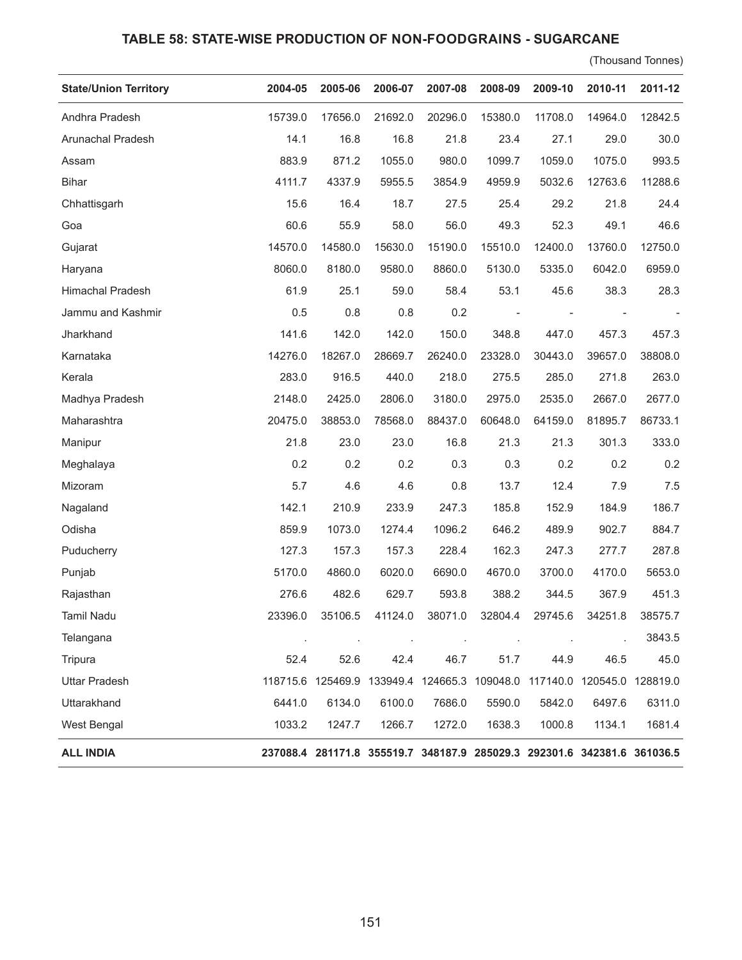## **TABLE 58: STATE-WISE PRODUCTION OF NON-FOODGRAINS - SUGARCANE**

(Thousand Tonnes)

| <b>State/Union Territory</b> | 2004-05 | 2005-06 | 2006-07 | 2007-08 | 2008-09                                                                 | 2009-10                  | 2010-11 | 2011-12 |
|------------------------------|---------|---------|---------|---------|-------------------------------------------------------------------------|--------------------------|---------|---------|
| Andhra Pradesh               | 15739.0 | 17656.0 | 21692.0 | 20296.0 | 15380.0                                                                 | 11708.0                  | 14964.0 | 12842.5 |
| Arunachal Pradesh            | 14.1    | 16.8    | 16.8    | 21.8    | 23.4                                                                    | 27.1                     | 29.0    | 30.0    |
| Assam                        | 883.9   | 871.2   | 1055.0  | 980.0   | 1099.7                                                                  | 1059.0                   | 1075.0  | 993.5   |
| <b>Bihar</b>                 | 4111.7  | 4337.9  | 5955.5  | 3854.9  | 4959.9                                                                  | 5032.6                   | 12763.6 | 11288.6 |
| Chhattisgarh                 | 15.6    | 16.4    | 18.7    | 27.5    | 25.4                                                                    | 29.2                     | 21.8    | 24.4    |
| Goa                          | 60.6    | 55.9    | 58.0    | 56.0    | 49.3                                                                    | 52.3                     | 49.1    | 46.6    |
| Gujarat                      | 14570.0 | 14580.0 | 15630.0 | 15190.0 | 15510.0                                                                 | 12400.0                  | 13760.0 | 12750.0 |
| Haryana                      | 8060.0  | 8180.0  | 9580.0  | 8860.0  | 5130.0                                                                  | 5335.0                   | 6042.0  | 6959.0  |
| Himachal Pradesh             | 61.9    | 25.1    | 59.0    | 58.4    | 53.1                                                                    | 45.6                     | 38.3    | 28.3    |
| Jammu and Kashmir            | 0.5     | 0.8     | 0.8     | 0.2     |                                                                         | $\overline{\phantom{a}}$ |         |         |
| Jharkhand                    | 141.6   | 142.0   | 142.0   | 150.0   | 348.8                                                                   | 447.0                    | 457.3   | 457.3   |
| Karnataka                    | 14276.0 | 18267.0 | 28669.7 | 26240.0 | 23328.0                                                                 | 30443.0                  | 39657.0 | 38808.0 |
| Kerala                       | 283.0   | 916.5   | 440.0   | 218.0   | 275.5                                                                   | 285.0                    | 271.8   | 263.0   |
| Madhya Pradesh               | 2148.0  | 2425.0  | 2806.0  | 3180.0  | 2975.0                                                                  | 2535.0                   | 2667.0  | 2677.0  |
| Maharashtra                  | 20475.0 | 38853.0 | 78568.0 | 88437.0 | 60648.0                                                                 | 64159.0                  | 81895.7 | 86733.1 |
| Manipur                      | 21.8    | 23.0    | 23.0    | 16.8    | 21.3                                                                    | 21.3                     | 301.3   | 333.0   |
| Meghalaya                    | 0.2     | 0.2     | 0.2     | 0.3     | 0.3                                                                     | 0.2                      | 0.2     | 0.2     |
| Mizoram                      | 5.7     | 4.6     | 4.6     | 0.8     | 13.7                                                                    | 12.4                     | 7.9     | 7.5     |
| Nagaland                     | 142.1   | 210.9   | 233.9   | 247.3   | 185.8                                                                   | 152.9                    | 184.9   | 186.7   |
| Odisha                       | 859.9   | 1073.0  | 1274.4  | 1096.2  | 646.2                                                                   | 489.9                    | 902.7   | 884.7   |
| Puducherry                   | 127.3   | 157.3   | 157.3   | 228.4   | 162.3                                                                   | 247.3                    | 277.7   | 287.8   |
| Punjab                       | 5170.0  | 4860.0  | 6020.0  | 6690.0  | 4670.0                                                                  | 3700.0                   | 4170.0  | 5653.0  |
| Rajasthan                    | 276.6   | 482.6   | 629.7   | 593.8   | 388.2                                                                   | 344.5                    | 367.9   | 451.3   |
| <b>Tamil Nadu</b>            | 23396.0 | 35106.5 | 41124.0 | 38071.0 | 32804.4                                                                 | 29745.6                  | 34251.8 | 38575.7 |
| Telangana                    |         |         |         |         |                                                                         |                          |         | 3843.5  |
| Tripura                      | 52.4    | 52.6    | 42.4    | 46.7    | 51.7                                                                    | 44.9                     | 46.5    | 45.0    |
| <b>Uttar Pradesh</b>         |         |         |         |         | 118715.6 125469.9 133949.4 124665.3 109048.0 117140.0 120545.0 128819.0 |                          |         |         |
| Uttarakhand                  | 6441.0  | 6134.0  | 6100.0  | 7686.0  | 5590.0                                                                  | 5842.0                   | 6497.6  | 6311.0  |
| West Bengal                  | 1033.2  | 1247.7  | 1266.7  | 1272.0  | 1638.3                                                                  | 1000.8                   | 1134.1  | 1681.4  |
| <b>ALL INDIA</b>             |         |         |         |         | 237088.4 281171.8 355519.7 348187.9 285029.3 292301.6 342381.6 361036.5 |                          |         |         |